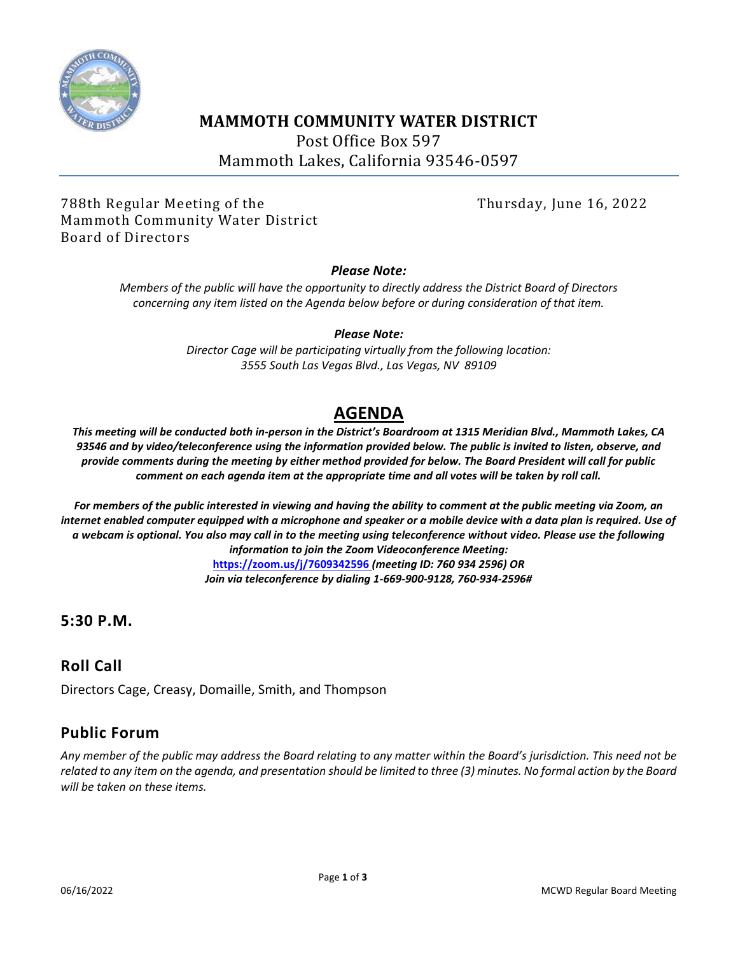

## **MAMMOTH COMMUNITY WATER DISTRICT**

Post Office Box 597

Mammoth Lakes, California 93546-0597

788th Regular Meeting of the Thursday, June 16, 2022 Mammoth Community Water District Board of Directors

#### *Please Note:*

*Members of the public will have the opportunity to directly address the District Board of Directors concerning any item listed on the Agenda below before or during consideration of that item.*

#### *Please Note:*

*Director Cage will be participating virtually from the following location: 3555 South Las Vegas Blvd., Las Vegas, NV 89109*

# **AGENDA**

*This meeting will be conducted both in-person in the District's Boardroom at 1315 Meridian Blvd., Mammoth Lakes, CA 93546 and by video/teleconference using the information provided below. The public is invited to listen, observe, and provide comments during the meeting by either method provided for below. The Board President will call for public comment on each agenda item at the appropriate time and all votes will be taken by roll call.*

*For members of the public interested in viewing and having the ability to comment at the public meeting via Zoom, an internet enabled computer equipped with a microphone and speaker or a mobile device with a data plan is required. Use of a webcam is optional. You also may call in to the meeting using teleconference without video. Please use the following information to join the Zoom Videoconference Meeting:*  **https://zoom.us/j/7609342596** *(meeting ID: 760 934 2596) OR Join via teleconference by dialing 1-669-900-9128, 760-934-2596#*

## **5:30 P.M.**

## **Roll Call**

Directors Cage, Creasy, Domaille, Smith, and Thompson

## **Public Forum**

*Any member of the public may address the Board relating to any matter within the Board's jurisdiction. This need not be related to any item on the agenda, and presentation should be limited to three (3) minutes. No formal action by the Board will be taken on these items.*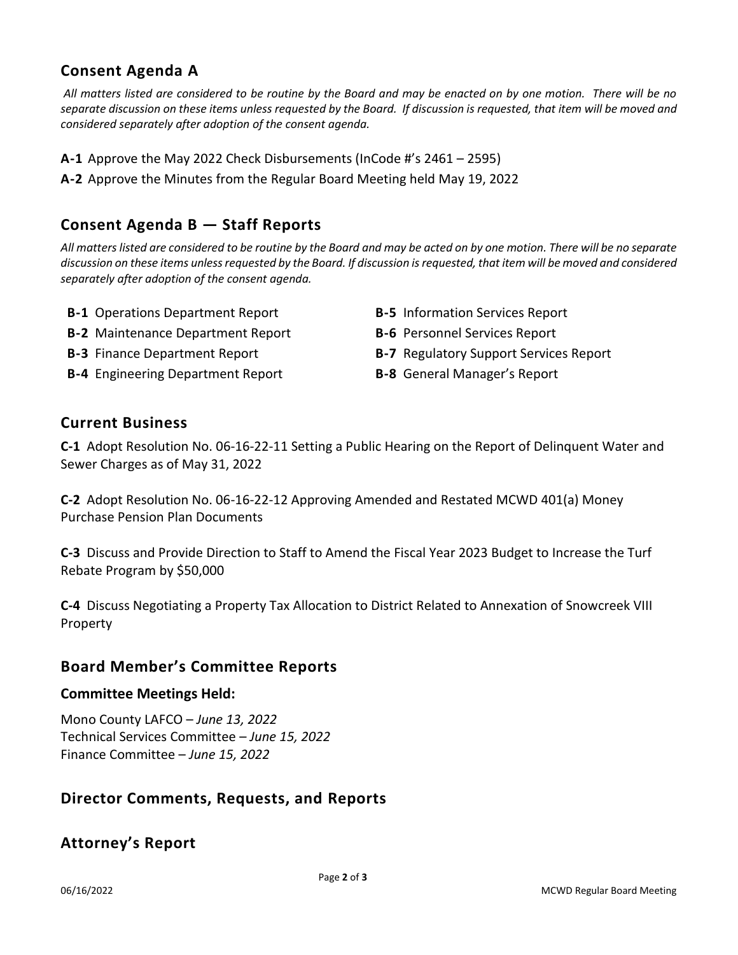# **Consent Agenda A**

*All matters listed are considered to be routine by the Board and may be enacted on by one motion. There will be no separate discussion on these items unless requested by the Board. If discussion is requested, that item will be moved and considered separately after adoption of the consent agenda.*

- **A-1** Approve the May 2022 Check Disbursements (InCode #'s 2461 2595)
- **A-2** Approve the Minutes from the Regular Board Meeting held May 19, 2022

## **Consent Agenda B — Staff Reports**

*All matters listed are considered to be routine by the Board and may be acted on by one motion. There will be no separate discussion on these items unless requested by the Board. If discussion is requested, that item will be moved and considered separately after adoption of the consent agenda.*

- **B-1** Operations Department Report **B-5** Information Services Report
- **B-2** Maintenance Department Report **B-6** Personnel Services Report
- 
- **B-4** Engineering Department Report **B-8** General Manager's Report
- 
- 
- **B-3** Finance Department Report **B-7** Regulatory Support Services Report
	-

#### **Current Business**

**C-1** Adopt Resolution No. 06-16-22-11 Setting a Public Hearing on the Report of Delinquent Water and Sewer Charges as of May 31, 2022

**C-2** Adopt Resolution No. 06-16-22-12 Approving Amended and Restated MCWD 401(a) Money Purchase Pension Plan Documents

**C-3** Discuss and Provide Direction to Staff to Amend the Fiscal Year 2023 Budget to Increase the Turf Rebate Program by \$50,000

**C-4** Discuss Negotiating a Property Tax Allocation to District Related to Annexation of Snowcreek VIII Property

### **Board Member's Committee Reports**

#### **Committee Meetings Held:**

Mono County LAFCO – *June 13, 2022* Technical Services Committee – *June 15, 2022* Finance Committee – *June 15, 2022*

### **Director Comments, Requests, and Reports**

### **Attorney's Report**